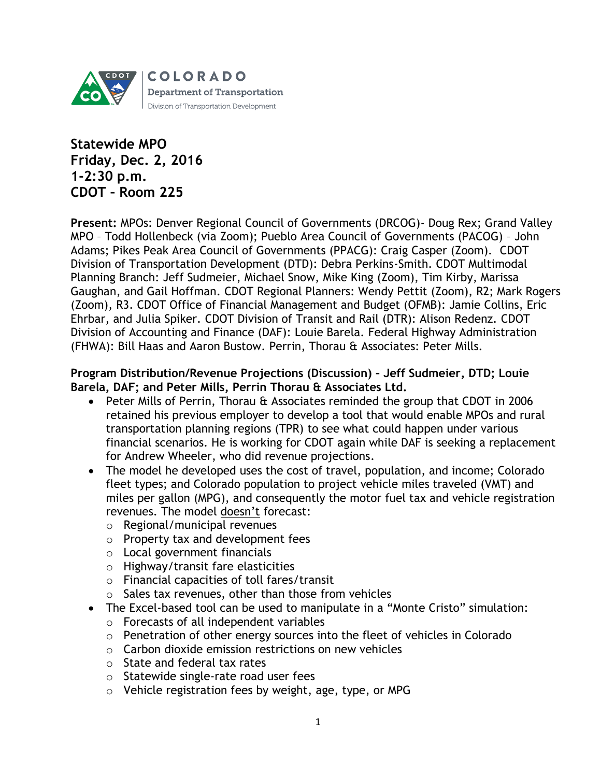

# **Statewide MPO Friday, Dec. 2, 2016 1-2:30 p.m. CDOT – Room 225**

**Present:** MPOs: Denver Regional Council of Governments (DRCOG)- Doug Rex; Grand Valley MPO – Todd Hollenbeck (via Zoom); Pueblo Area Council of Governments (PACOG) – John Adams; Pikes Peak Area Council of Governments (PPACG): Craig Casper (Zoom). CDOT Division of Transportation Development (DTD): Debra Perkins-Smith. CDOT Multimodal Planning Branch: Jeff Sudmeier, Michael Snow, Mike King (Zoom), Tim Kirby, Marissa Gaughan, and Gail Hoffman. CDOT Regional Planners: Wendy Pettit (Zoom), R2; Mark Rogers (Zoom), R3. CDOT Office of Financial Management and Budget (OFMB): Jamie Collins, Eric Ehrbar, and Julia Spiker. CDOT Division of Transit and Rail (DTR): Alison Redenz. CDOT Division of Accounting and Finance (DAF): Louie Barela. Federal Highway Administration (FHWA): Bill Haas and Aaron Bustow. Perrin, Thorau & Associates: Peter Mills.

#### **Program Distribution/Revenue Projections (Discussion) – Jeff Sudmeier, DTD; Louie Barela, DAF; and Peter Mills, Perrin Thorau & Associates Ltd.**

- Peter Mills of Perrin, Thorau & Associates reminded the group that CDOT in 2006 retained his previous employer to develop a tool that would enable MPOs and rural transportation planning regions (TPR) to see what could happen under various financial scenarios. He is working for CDOT again while DAF is seeking a replacement for Andrew Wheeler, who did revenue projections.
- The model he developed uses the cost of travel, population, and income; Colorado fleet types; and Colorado population to project vehicle miles traveled (VMT) and miles per gallon (MPG), and consequently the motor fuel tax and vehicle registration revenues. The model doesn't forecast:
	- o Regional/municipal revenues
	- o Property tax and development fees
	- o Local government financials
	- o Highway/transit fare elasticities
	- o Financial capacities of toll fares/transit
	- o Sales tax revenues, other than those from vehicles
- The Excel-based tool can be used to manipulate in a "Monte Cristo" simulation:
	- o Forecasts of all independent variables
	- o Penetration of other energy sources into the fleet of vehicles in Colorado
	- o Carbon dioxide emission restrictions on new vehicles
	- o State and federal tax rates
	- o Statewide single-rate road user fees
	- $\circ$  Vehicle registration fees by weight, age, type, or MPG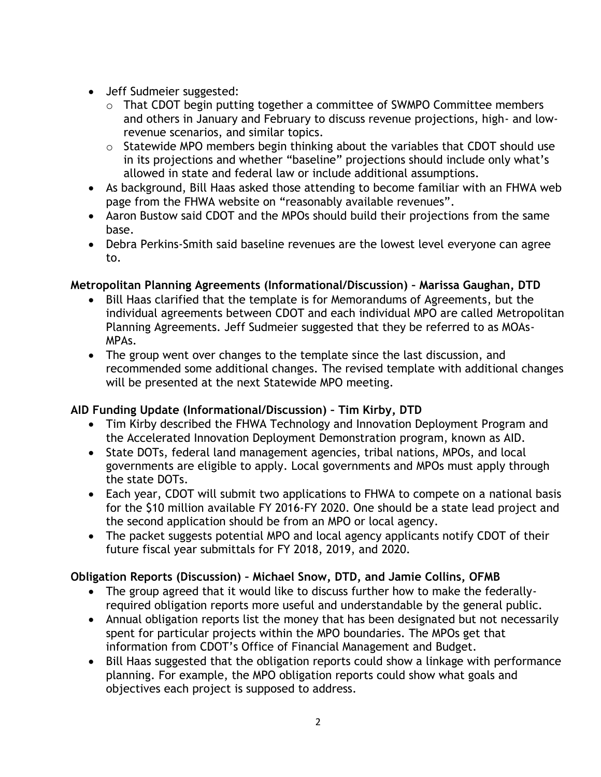- Jeff Sudmeier suggested:
	- o That CDOT begin putting together a committee of SWMPO Committee members and others in January and February to discuss revenue projections, high- and lowrevenue scenarios, and similar topics.
	- $\circ$  Statewide MPO members begin thinking about the variables that CDOT should use in its projections and whether "baseline" projections should include only what's allowed in state and federal law or include additional assumptions.
- As background, Bill Haas asked those attending to become familiar with an FHWA web page from the FHWA website on "reasonably available revenues".
- Aaron Bustow said CDOT and the MPOs should build their projections from the same base.
- Debra Perkins-Smith said baseline revenues are the lowest level everyone can agree to.

## **Metropolitan Planning Agreements (Informational/Discussion) – Marissa Gaughan, DTD**

- Bill Haas clarified that the template is for Memorandums of Agreements, but the individual agreements between CDOT and each individual MPO are called Metropolitan Planning Agreements. Jeff Sudmeier suggested that they be referred to as MOAs-MPAs.
- The group went over changes to the template since the last discussion, and recommended some additional changes. The revised template with additional changes will be presented at the next Statewide MPO meeting.

### **AID Funding Update (Informational/Discussion) – Tim Kirby, DTD**

- Tim Kirby described the FHWA Technology and Innovation Deployment Program and the Accelerated Innovation Deployment Demonstration program, known as AID.
- State DOTs, federal land management agencies, tribal nations, MPOs, and local governments are eligible to apply. Local governments and MPOs must apply through the state DOTs.
- Each year, CDOT will submit two applications to FHWA to compete on a national basis for the \$10 million available FY 2016-FY 2020. One should be a state lead project and the second application should be from an MPO or local agency.
- The packet suggests potential MPO and local agency applicants notify CDOT of their future fiscal year submittals for FY 2018, 2019, and 2020.

### **Obligation Reports (Discussion) – Michael Snow, DTD, and Jamie Collins, OFMB**

- The group agreed that it would like to discuss further how to make the federallyrequired obligation reports more useful and understandable by the general public.
- Annual obligation reports list the money that has been designated but not necessarily spent for particular projects within the MPO boundaries. The MPOs get that information from CDOT's Office of Financial Management and Budget.
- Bill Haas suggested that the obligation reports could show a linkage with performance planning. For example, the MPO obligation reports could show what goals and objectives each project is supposed to address.